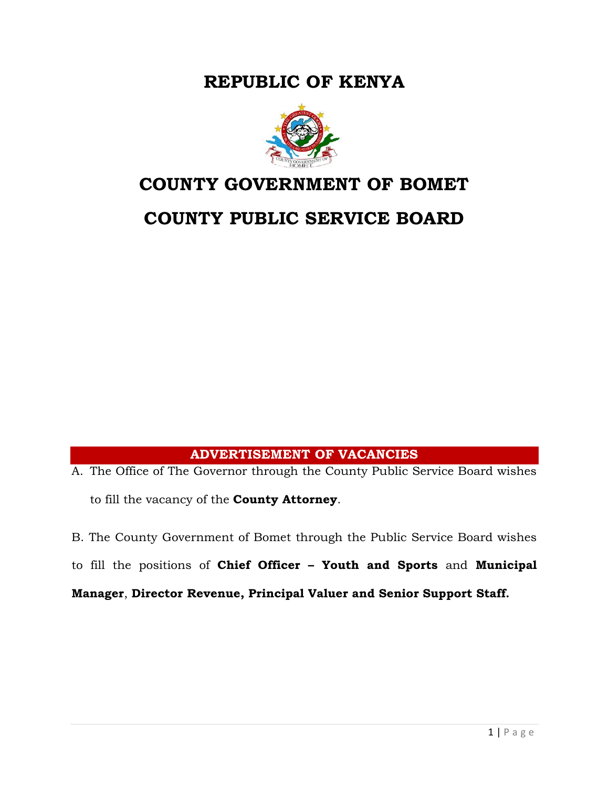**REPUBLIC OF KENYA**



# **COUNTY GOVERNMENT OF BOMET**

# **COUNTY PUBLIC SERVICE BOARD**

# **ADVERTISEMENT OF VACANCIES**

A. The Office of The Governor through the County Public Service Board wishes to fill the vacancy of the **County Attorney**.

B. The County Government of Bomet through the Public Service Board wishes

to fill the positions of **Chief Officer – Youth and Sports** and **Municipal** 

**Manager**, **Director Revenue, Principal Valuer and Senior Support Staff.**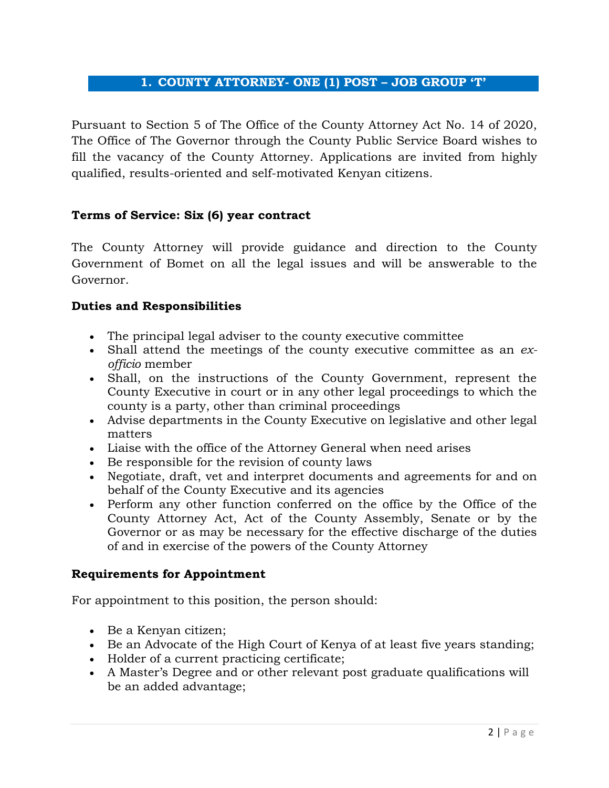# **1. COUNTY ATTORNEY- ONE (1) POST – JOB GROUP 'T'**

Pursuant to Section 5 of The Office of the County Attorney Act No. 14 of 2020, The Office of The Governor through the County Public Service Board wishes to fill the vacancy of the County Attorney. Applications are invited from highly qualified, results-oriented and self-motivated Kenyan citizens.

#### **Terms of Service: Six (6) year contract**

The County Attorney will provide guidance and direction to the County Government of Bomet on all the legal issues and will be answerable to the Governor.

#### **Duties and Responsibilities**

- The principal legal adviser to the county executive committee
- Shall attend the meetings of the county executive committee as an *exofficio* member
- Shall, on the instructions of the County Government, represent the County Executive in court or in any other legal proceedings to which the county is a party, other than criminal proceedings
- Advise departments in the County Executive on legislative and other legal matters
- Liaise with the office of the Attorney General when need arises
- Be responsible for the revision of county laws
- Negotiate, draft, vet and interpret documents and agreements for and on behalf of the County Executive and its agencies
- Perform any other function conferred on the office by the Office of the County Attorney Act, Act of the County Assembly, Senate or by the Governor or as may be necessary for the effective discharge of the duties of and in exercise of the powers of the County Attorney

#### **Requirements for Appointment**

For appointment to this position, the person should:

- Be a Kenyan citizen;
- Be an Advocate of the High Court of Kenya of at least five years standing;
- Holder of a current practicing certificate;
- A Master's Degree and or other relevant post graduate qualifications will be an added advantage;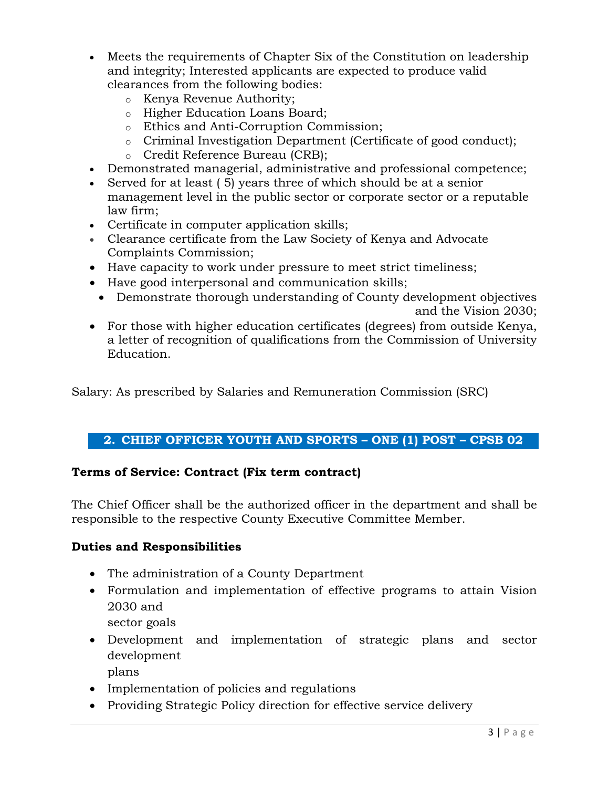- Meets the requirements of Chapter Six of the Constitution on leadership and integrity; Interested applicants are expected to produce valid clearances from the following bodies:
	- o Kenya Revenue Authority;
	- o Higher Education Loans Board;
	- o Ethics and Anti-Corruption Commission;
	- $\circ$  Criminal Investigation Department (Certificate of good conduct);
	- o Credit Reference Bureau (CRB);
- Demonstrated managerial, administrative and professional competence;
- Served for at least ( 5) years three of which should be at a senior management level in the public sector or corporate sector or a reputable law firm;
- Certificate in computer application skills;
- Clearance certificate from the Law Society of Kenya and Advocate Complaints Commission;
- Have capacity to work under pressure to meet strict timeliness;
- Have good interpersonal and communication skills;
- Demonstrate thorough understanding of County development objectives and the Vision 2030;
- For those with higher education certificates (degrees) from outside Kenya, a letter of recognition of qualifications from the Commission of University Education.

Salary: As prescribed by Salaries and Remuneration Commission (SRC)

# **2. CHIEF OFFICER YOUTH AND SPORTS – ONE (1) POST – CPSB 02**

#### **Terms of Service: Contract (Fix term contract)**

The Chief Officer shall be the authorized officer in the department and shall be responsible to the respective County Executive Committee Member.

#### **Duties and Responsibilities**

- The administration of a County Department
- Formulation and implementation of effective programs to attain Vision 2030 and
	- sector goals
- Development and implementation of strategic plans and sector development
	- plans
- Implementation of policies and regulations
- Providing Strategic Policy direction for effective service delivery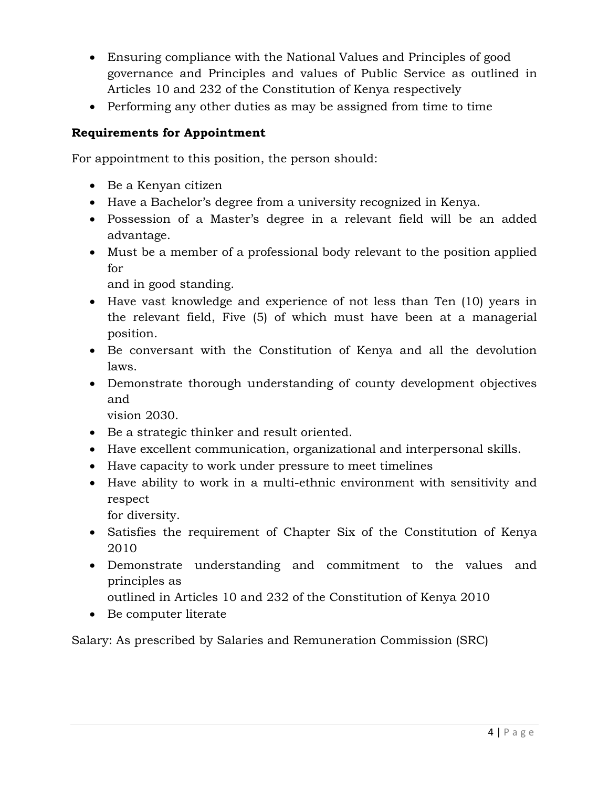- Ensuring compliance with the National Values and Principles of good governance and Principles and values of Public Service as outlined in Articles 10 and 232 of the Constitution of Kenya respectively
- Performing any other duties as may be assigned from time to time

# **Requirements for Appointment**

For appointment to this position, the person should:

- Be a Kenyan citizen
- Have a Bachelor's degree from a university recognized in Kenya.
- Possession of a Master's degree in a relevant field will be an added advantage.
- Must be a member of a professional body relevant to the position applied for

and in good standing.

- Have vast knowledge and experience of not less than Ten (10) years in the relevant field, Five (5) of which must have been at a managerial position.
- Be conversant with the Constitution of Kenya and all the devolution laws.
- Demonstrate thorough understanding of county development objectives and

vision 2030.

- Be a strategic thinker and result oriented.
- Have excellent communication, organizational and interpersonal skills.
- Have capacity to work under pressure to meet timelines
- Have ability to work in a multi-ethnic environment with sensitivity and respect
	- for diversity.
- Satisfies the requirement of Chapter Six of the Constitution of Kenya 2010
- Demonstrate understanding and commitment to the values and principles as
	- outlined in Articles 10 and 232 of the Constitution of Kenya 2010
- Be computer literate

Salary: As prescribed by Salaries and Remuneration Commission (SRC)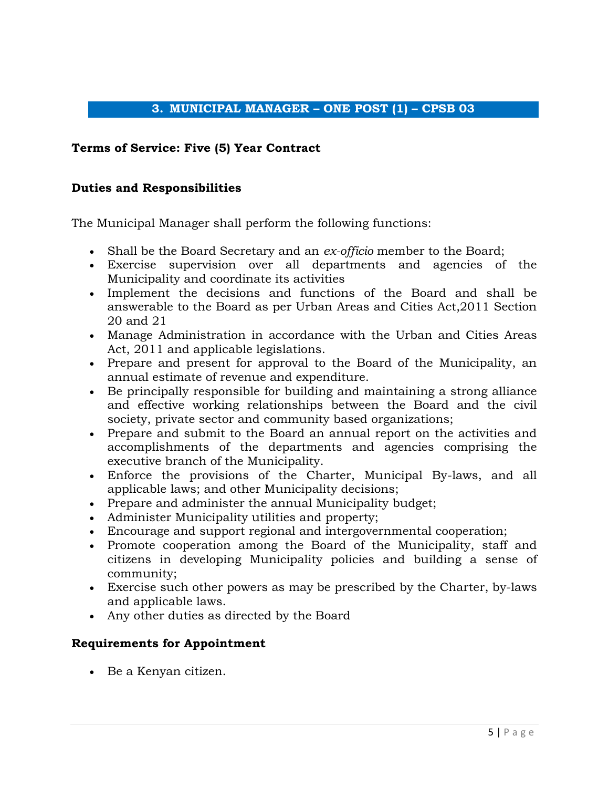## **3. MUNICIPAL MANAGER – ONE POST (1) – CPSB 03**

#### **Terms of Service: Five (5) Year Contract**

#### **Duties and Responsibilities**

The Municipal Manager shall perform the following functions:

- Shall be the Board Secretary and an *ex-officio* member to the Board;
- Exercise supervision over all departments and agencies of the Municipality and coordinate its activities
- Implement the decisions and functions of the Board and shall be answerable to the Board as per Urban Areas and Cities Act,2011 Section 20 and 21
- Manage Administration in accordance with the Urban and Cities Areas Act, 2011 and applicable legislations.
- Prepare and present for approval to the Board of the Municipality, an annual estimate of revenue and expenditure.
- Be principally responsible for building and maintaining a strong alliance and effective working relationships between the Board and the civil society, private sector and community based organizations;
- Prepare and submit to the Board an annual report on the activities and accomplishments of the departments and agencies comprising the executive branch of the Municipality.
- Enforce the provisions of the Charter, Municipal By-laws, and all applicable laws; and other Municipality decisions;
- Prepare and administer the annual Municipality budget;
- Administer Municipality utilities and property;
- Encourage and support regional and intergovernmental cooperation;
- Promote cooperation among the Board of the Municipality, staff and citizens in developing Municipality policies and building a sense of community;
- Exercise such other powers as may be prescribed by the Charter, by-laws and applicable laws.
- Any other duties as directed by the Board

#### **Requirements for Appointment**

Be a Kenyan citizen.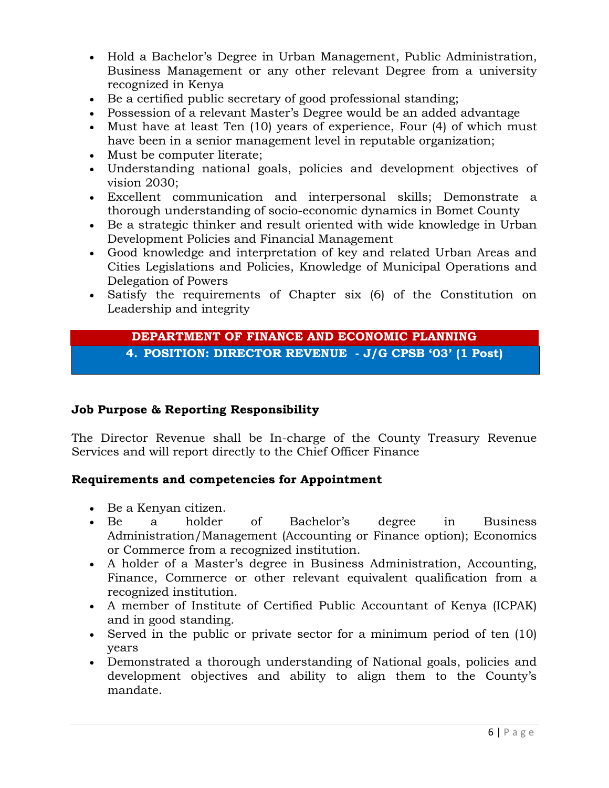- Hold a Bachelor's Degree in Urban Management, Public Administration, Business Management or any other relevant Degree from a university recognized in Kenya
- Be a certified public secretary of good professional standing;
- Possession of a relevant Master's Degree would be an added advantage
- Must have at least Ten (10) years of experience, Four (4) of which must have been in a senior management level in reputable organization;
- Must be computer literate;
- Understanding national goals, policies and development objectives of vision 2030;
- Excellent communication and interpersonal skills; Demonstrate a thorough understanding of socio-economic dynamics in Bomet County
- Be a strategic thinker and result oriented with wide knowledge in Urban Development Policies and Financial Management
- Good knowledge and interpretation of key and related Urban Areas and Cities Legislations and Policies, Knowledge of Municipal Operations and Delegation of Powers
- Satisfy the requirements of Chapter six (6) of the Constitution on Leadership and integrity

#### **DEPARTMENT OF FINANCE AND ECONOMIC PLANNING 4. POSITION: DIRECTOR REVENUE - J/G CPSB '03' (1 Post)**

# **Job Purpose & Reporting Responsibility**

The Director Revenue shall be In-charge of the County Treasury Revenue Services and will report directly to the Chief Officer Finance

# **Requirements and competencies for Appointment**

- Be a Kenyan citizen.
- Be a holder of Bachelor's degree in Business Administration/Management (Accounting or Finance option); Economics or Commerce from a recognized institution.
- A holder of a Master's degree in Business Administration, Accounting, Finance, Commerce or other relevant equivalent qualification from a recognized institution.
- A member of Institute of Certified Public Accountant of Kenya (ICPAK) and in good standing.
- Served in the public or private sector for a minimum period of ten (10) years
- Demonstrated a thorough understanding of National goals, policies and development objectives and ability to align them to the County's mandate.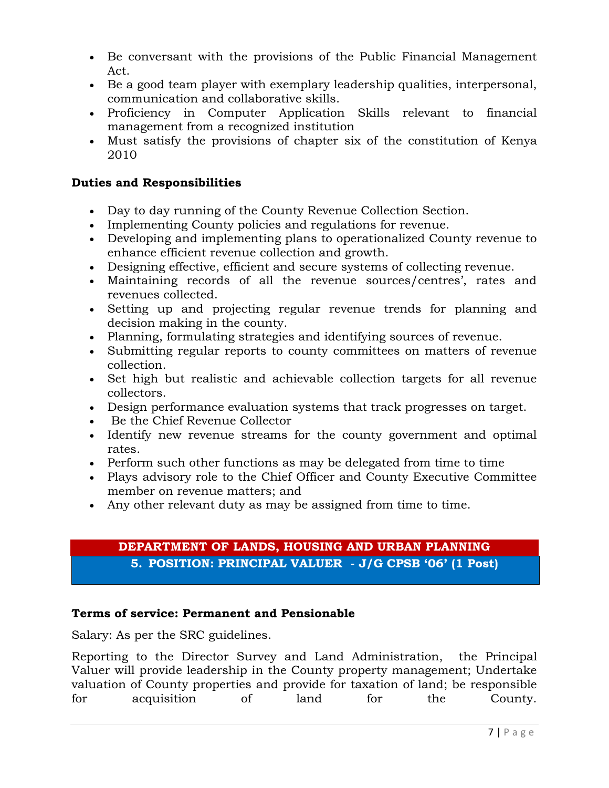- Be conversant with the provisions of the Public Financial Management Act.
- Be a good team player with exemplary leadership qualities, interpersonal, communication and collaborative skills.
- Proficiency in Computer Application Skills relevant to financial management from a recognized institution
- Must satisfy the provisions of chapter six of the constitution of Kenya 2010

# **Duties and Responsibilities**

- Day to day running of the County Revenue Collection Section.
- Implementing County policies and regulations for revenue.
- Developing and implementing plans to operationalized County revenue to enhance efficient revenue collection and growth.
- Designing effective, efficient and secure systems of collecting revenue.
- Maintaining records of all the revenue sources/centres', rates and revenues collected.
- Setting up and projecting regular revenue trends for planning and decision making in the county.
- Planning, formulating strategies and identifying sources of revenue.
- Submitting regular reports to county committees on matters of revenue collection.
- Set high but realistic and achievable collection targets for all revenue collectors.
- Design performance evaluation systems that track progresses on target.
- Be the Chief Revenue Collector
- Identify new revenue streams for the county government and optimal rates.
- Perform such other functions as may be delegated from time to time
- Plays advisory role to the Chief Officer and County Executive Committee member on revenue matters; and
- Any other relevant duty as may be assigned from time to time.

# **DEPARTMENT OF LANDS, HOUSING AND URBAN PLANNING**

**5. POSITION: PRINCIPAL VALUER - J/G CPSB '06' (1 Post)**

# **Terms of service: Permanent and Pensionable**

Salary: As per the SRC guidelines.

Reporting to the Director Survey and Land Administration, the Principal Valuer will provide leadership in the County property management; Undertake valuation of County properties and provide for taxation of land; be responsible for acquisition of land for the County.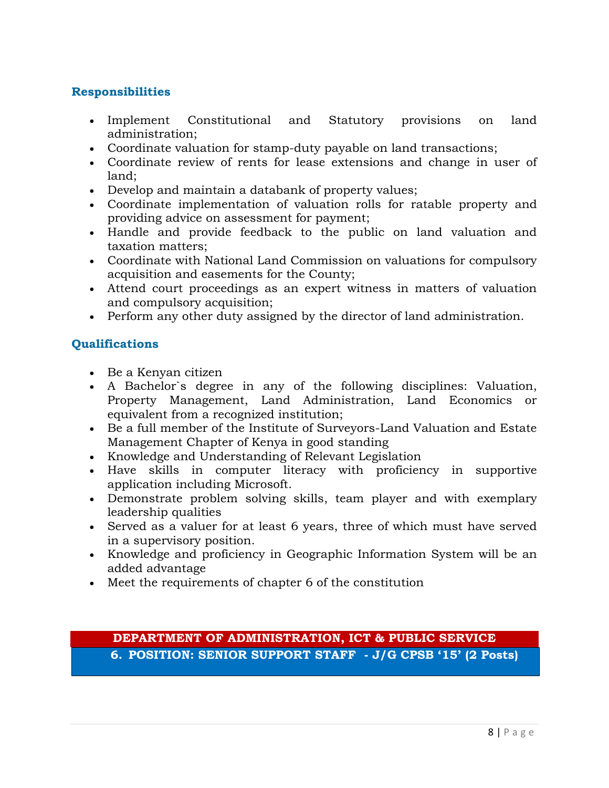## **Responsibilities**

- Implement Constitutional and Statutory provisions on land administration;
- Coordinate valuation for stamp-duty payable on land transactions;
- Coordinate review of rents for lease extensions and change in user of land;
- Develop and maintain a databank of property values;
- Coordinate implementation of valuation rolls for ratable property and providing advice on assessment for payment;
- Handle and provide feedback to the public on land valuation and taxation matters;
- Coordinate with National Land Commission on valuations for compulsory acquisition and easements for the County;
- Attend court proceedings as an expert witness in matters of valuation and compulsory acquisition;
- Perform any other duty assigned by the director of land administration.

# **Qualifications**

- Be a Kenyan citizen
- A Bachelor`s degree in any of the following disciplines: Valuation, Property Management, Land Administration, Land Economics or equivalent from a recognized institution;
- Be a full member of the Institute of Surveyors-Land Valuation and Estate Management Chapter of Kenya in good standing
- Knowledge and Understanding of Relevant Legislation
- Have skills in computer literacy with proficiency in supportive application including Microsoft.
- Demonstrate problem solving skills, team player and with exemplary leadership qualities
- Served as a valuer for at least 6 years, three of which must have served in a supervisory position.
- Knowledge and proficiency in Geographic Information System will be an added advantage
- Meet the requirements of chapter 6 of the constitution

**DEPARTMENT OF ADMINISTRATION, ICT & PUBLIC SERVICE 6. POSITION: SENIOR SUPPORT STAFF - J/G CPSB '15' (2 Posts)**